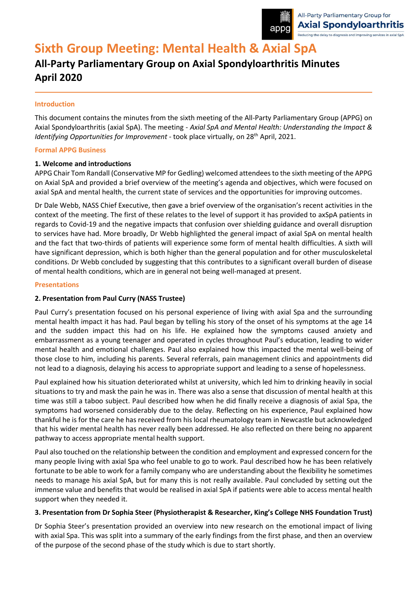

# **Sixth Group Meeting: Mental Health & Axial SpA**

# **All-Party Parliamentary Group on Axial Spondyloarthritis Minutes April 2020**

## **Introduction**

This document contains the minutes from the sixth meeting of the All-Party Parliamentary Group (APPG) on Axial Spondyloarthritis (axial SpA). The meeting - *Axial SpA and Mental Health: Understanding the Impact & Identifying Opportunities for Improvement* - took place virtually, on 28<sup>th</sup> April, 2021.

### **Formal APPG Business**

# **1. Welcome and introductions**

APPG Chair Tom Randall (Conservative MP for Gedling) welcomed attendees to the sixth meeting of the APPG on Axial SpA and provided a brief overview of the meeting's agenda and objectives, which were focused on axial SpA and mental health, the current state of services and the opportunities for improving outcomes.

Dr Dale Webb, NASS Chief Executive, then gave a brief overview of the organisation's recent activities in the context of the meeting. The first of these relates to the level of support it has provided to axSpA patients in regards to Covid-19 and the negative impacts that confusion over shielding guidance and overall disruption to services have had. More broadly, Dr Webb highlighted the general impact of axial SpA on mental health and the fact that two-thirds of patients will experience some form of mental health difficulties. A sixth will have significant depression, which is both higher than the general population and for other musculoskeletal conditions. Dr Webb concluded by suggesting that this contributes to a significant overall burden of disease of mental health conditions, which are in general not being well-managed at present.

### **Presentations**

# **2. Presentation from Paul Curry (NASS Trustee)**

Paul Curry's presentation focused on his personal experience of living with axial Spa and the surrounding mental health impact it has had. Paul began by telling his story of the onset of his symptoms at the age 14 and the sudden impact this had on his life. He explained how the symptoms caused anxiety and embarrassment as a young teenager and operated in cycles throughout Paul's education, leading to wider mental health and emotional challenges. Paul also explained how this impacted the mental well-being of those close to him, including his parents. Several referrals, pain management clinics and appointments did not lead to a diagnosis, delaying his access to appropriate support and leading to a sense of hopelessness.

Paul explained how his situation deteriorated whilst at university, which led him to drinking heavily in social situations to try and mask the pain he was in. There was also a sense that discussion of mental health at this time was still a taboo subject. Paul described how when he did finally receive a diagnosis of axial Spa, the symptoms had worsened considerably due to the delay. Reflecting on his experience, Paul explained how thankful he is for the care he has received from his local rheumatology team in Newcastle but acknowledged that his wider mental health has never really been addressed. He also reflected on there being no apparent pathway to access appropriate mental health support.

Paul also touched on the relationship between the condition and employment and expressed concern for the many people living with axial Spa who feel unable to go to work. Paul described how he has been relatively fortunate to be able to work for a family company who are understanding about the flexibility he sometimes needs to manage his axial SpA, but for many this is not really available. Paul concluded by setting out the immense value and benefits that would be realised in axial SpA if patients were able to access mental health support when they needed it.

### **3. Presentation from Dr Sophia Steer (Physiotherapist & Researcher, King's College NHS Foundation Trust)**

Dr Sophia Steer's presentation provided an overview into new research on the emotional impact of living with axial Spa. This was split into a summary of the early findings from the first phase, and then an overview of the purpose of the second phase of the study which is due to start shortly.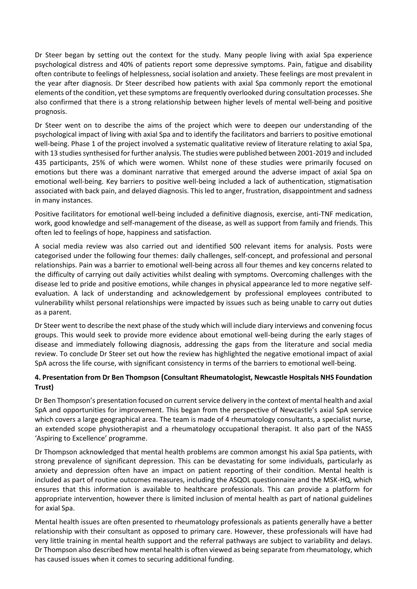Dr Steer began by setting out the context for the study. Many people living with axial Spa experience psychological distress and 40% of patients report some depressive symptoms. Pain, fatigue and disability often contribute to feelings of helplessness, social isolation and anxiety. These feelings are most prevalent in the year after diagnosis. Dr Steer described how patients with axial Spa commonly report the emotional elements of the condition, yet these symptoms are frequently overlooked during consultation processes. She also confirmed that there is a strong relationship between higher levels of mental well-being and positive prognosis.

Dr Steer went on to describe the aims of the project which were to deepen our understanding of the psychological impact of living with axial Spa and to identify the facilitators and barriers to positive emotional well-being. Phase 1 of the project involved a systematic qualitative review of literature relating to axial Spa, with 13 studies synthesised for further analysis. The studies were published between 2001-2019 and included 435 participants, 25% of which were women. Whilst none of these studies were primarily focused on emotions but there was a dominant narrative that emerged around the adverse impact of axial Spa on emotional well-being. Key barriers to positive well-being included a lack of authentication, stigmatisation associated with back pain, and delayed diagnosis. This led to anger, frustration, disappointment and sadness in many instances.

Positive facilitators for emotional well-being included a definitive diagnosis, exercise, anti-TNF medication, work, good knowledge and self-management of the disease, as well as support from family and friends. This often led to feelings of hope, happiness and satisfaction.

A social media review was also carried out and identified 500 relevant items for analysis. Posts were categorised under the following four themes: daily challenges, self-concept, and professional and personal relationships. Pain was a barrier to emotional well-being across all four themes and key concerns related to the difficulty of carrying out daily activities whilst dealing with symptoms. Overcoming challenges with the disease led to pride and positive emotions, while changes in physical appearance led to more negative selfevaluation. A lack of understanding and acknowledgement by professional employees contributed to vulnerability whilst personal relationships were impacted by issues such as being unable to carry out duties as a parent.

Dr Steer went to describe the next phase of the study which will include diary interviews and convening focus groups. This would seek to provide more evidence about emotional well-being during the early stages of disease and immediately following diagnosis, addressing the gaps from the literature and social media review. To conclude Dr Steer set out how the review has highlighted the negative emotional impact of axial SpA across the life course, with significant consistency in terms of the barriers to emotional well-being.

# **4. Presentation from Dr Ben Thompson (Consultant Rheumatologist, Newcastle Hospitals NHS Foundation Trust)**

Dr Ben Thompson's presentation focused on current service delivery in the context of mental health and axial SpA and opportunities for improvement. This began from the perspective of Newcastle's axial SpA service which covers a large geographical area. The team is made of 4 rheumatology consultants, a specialist nurse, an extended scope physiotherapist and a rheumatology occupational therapist. It also part of the NASS 'Aspiring to Excellence' programme.

Dr Thompson acknowledged that mental health problems are common amongst his axial Spa patients, with strong prevalence of significant depression. This can be devastating for some individuals, particularly as anxiety and depression often have an impact on patient reporting of their condition. Mental health is included as part of routine outcomes measures, including the ASQOL questionnaire and the MSK-HQ, which ensures that this information is available to healthcare professionals. This can provide a platform for appropriate intervention, however there is limited inclusion of mental health as part of national guidelines for axial Spa.

Mental health issues are often presented to rheumatology professionals as patients generally have a better relationship with their consultant as opposed to primary care. However, these professionals will have had very little training in mental health support and the referral pathways are subject to variability and delays. Dr Thompson also described how mental health is often viewed as being separate from rheumatology, which has caused issues when it comes to securing additional funding.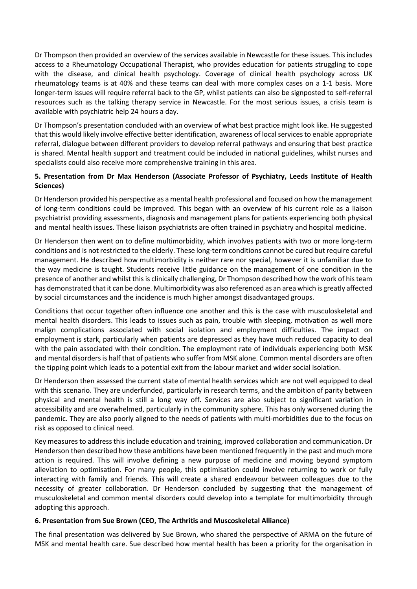Dr Thompson then provided an overview of the services available in Newcastle for these issues. This includes access to a Rheumatology Occupational Therapist, who provides education for patients struggling to cope with the disease, and clinical health psychology. Coverage of clinical health psychology across UK rheumatology teams is at 40% and these teams can deal with more complex cases on a 1-1 basis. More longer-term issues will require referral back to the GP, whilst patients can also be signposted to self-referral resources such as the talking therapy service in Newcastle. For the most serious issues, a crisis team is available with psychiatric help 24 hours a day.

Dr Thompson's presentation concluded with an overview of what best practice might look like. He suggested that this would likely involve effective better identification, awareness of local services to enable appropriate referral, dialogue between different providers to develop referral pathways and ensuring that best practice is shared. Mental health support and treatment could be included in national guidelines, whilst nurses and specialists could also receive more comprehensive training in this area.

# **5. Presentation from Dr Max Henderson (Associate Professor of Psychiatry, Leeds Institute of Health Sciences)**

Dr Henderson provided his perspective as a mental health professional and focused on how the management of long-term conditions could be improved. This began with an overview of his current role as a liaison psychiatrist providing assessments, diagnosis and management plans for patients experiencing both physical and mental health issues. These liaison psychiatrists are often trained in psychiatry and hospital medicine.

Dr Henderson then went on to define multimorbidity, which involves patients with two or more long-term conditions and is not restricted to the elderly. These long-term conditions cannot be cured but require careful management. He described how multimorbidity is neither rare nor special, however it is unfamiliar due to the way medicine is taught. Students receive little guidance on the management of one condition in the presence of another and whilst this is clinically challenging, Dr Thompson described how the work of his team has demonstrated that it can be done. Multimorbidity was also referenced as an area which is greatly affected by social circumstances and the incidence is much higher amongst disadvantaged groups.

Conditions that occur together often influence one another and this is the case with musculoskeletal and mental health disorders. This leads to issues such as pain, trouble with sleeping, motivation as well more malign complications associated with social isolation and employment difficulties. The impact on employment is stark, particularly when patients are depressed as they have much reduced capacity to deal with the pain associated with their condition. The employment rate of individuals experiencing both MSK and mental disorders is half that of patients who suffer from MSK alone. Common mental disorders are often the tipping point which leads to a potential exit from the labour market and wider social isolation.

Dr Henderson then assessed the current state of mental health services which are not well equipped to deal with this scenario. They are underfunded, particularly in research terms, and the ambition of parity between physical and mental health is still a long way off. Services are also subject to significant variation in accessibility and are overwhelmed, particularly in the community sphere. This has only worsened during the pandemic. They are also poorly aligned to the needs of patients with multi-morbidities due to the focus on risk as opposed to clinical need.

Key measures to address this include education and training, improved collaboration and communication. Dr Henderson then described how these ambitions have been mentioned frequently in the past and much more action is required. This will involve defining a new purpose of medicine and moving beyond symptom alleviation to optimisation. For many people, this optimisation could involve returning to work or fully interacting with family and friends. This will create a shared endeavour between colleagues due to the necessity of greater collaboration. Dr Henderson concluded by suggesting that the management of musculoskeletal and common mental disorders could develop into a template for multimorbidity through adopting this approach.

### **6. Presentation from Sue Brown (CEO, The Arthritis and Muscoskeletal Alliance)**

The final presentation was delivered by Sue Brown, who shared the perspective of ARMA on the future of MSK and mental health care. Sue described how mental health has been a priority for the organisation in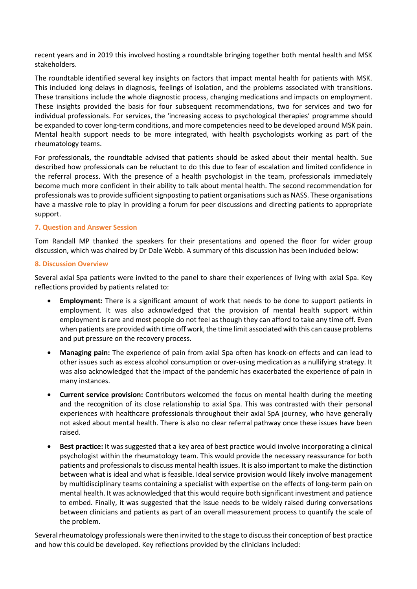recent years and in 2019 this involved hosting a roundtable bringing together both mental health and MSK stakeholders.

The roundtable identified several key insights on factors that impact mental health for patients with MSK. This included long delays in diagnosis, feelings of isolation, and the problems associated with transitions. These transitions include the whole diagnostic process, changing medications and impacts on employment. These insights provided the basis for four subsequent recommendations, two for services and two for individual professionals. For services, the 'increasing access to psychological therapies' programme should be expanded to cover long-term conditions, and more competencies need to be developed around MSK pain. Mental health support needs to be more integrated, with health psychologists working as part of the rheumatology teams.

For professionals, the roundtable advised that patients should be asked about their mental health. Sue described how professionals can be reluctant to do this due to fear of escalation and limited confidence in the referral process. With the presence of a health psychologist in the team, professionals immediately become much more confident in their ability to talk about mental health. The second recommendation for professionals was to provide sufficient signposting to patient organisations such as NASS. These organisations have a massive role to play in providing a forum for peer discussions and directing patients to appropriate support.

# **7. Question and Answer Session**

Tom Randall MP thanked the speakers for their presentations and opened the floor for wider group discussion, which was chaired by Dr Dale Webb. A summary of this discussion has been included below:

### **8. Discussion Overview**

Several axial Spa patients were invited to the panel to share their experiences of living with axial Spa. Key reflections provided by patients related to:

- **Employment:** There is a significant amount of work that needs to be done to support patients in employment. It was also acknowledged that the provision of mental health support within employment is rare and most people do not feel as though they can afford to take any time off. Even when patients are provided with time off work, the time limit associated with this can cause problems and put pressure on the recovery process.
- **Managing pain:** The experience of pain from axial Spa often has knock-on effects and can lead to other issues such as excess alcohol consumption or over-using medication as a nullifying strategy. It was also acknowledged that the impact of the pandemic has exacerbated the experience of pain in many instances.
- **Current service provision:** Contributors welcomed the focus on mental health during the meeting and the recognition of its close relationship to axial Spa. This was contrasted with their personal experiences with healthcare professionals throughout their axial SpA journey, who have generally not asked about mental health. There is also no clear referral pathway once these issues have been raised.
- **Best practice:** It was suggested that a key area of best practice would involve incorporating a clinical psychologist within the rheumatology team. This would provide the necessary reassurance for both patients and professionals to discuss mental health issues. It is also important to make the distinction between what is ideal and what is feasible. Ideal service provision would likely involve management by multidisciplinary teams containing a specialist with expertise on the effects of long-term pain on mental health. It was acknowledged that this would require both significant investment and patience to embed. Finally, it was suggested that the issue needs to be widely raised during conversations between clinicians and patients as part of an overall measurement process to quantify the scale of the problem.

Several rheumatology professionals were then invited to the stage to discusstheir conception of best practice and how this could be developed. Key reflections provided by the clinicians included: